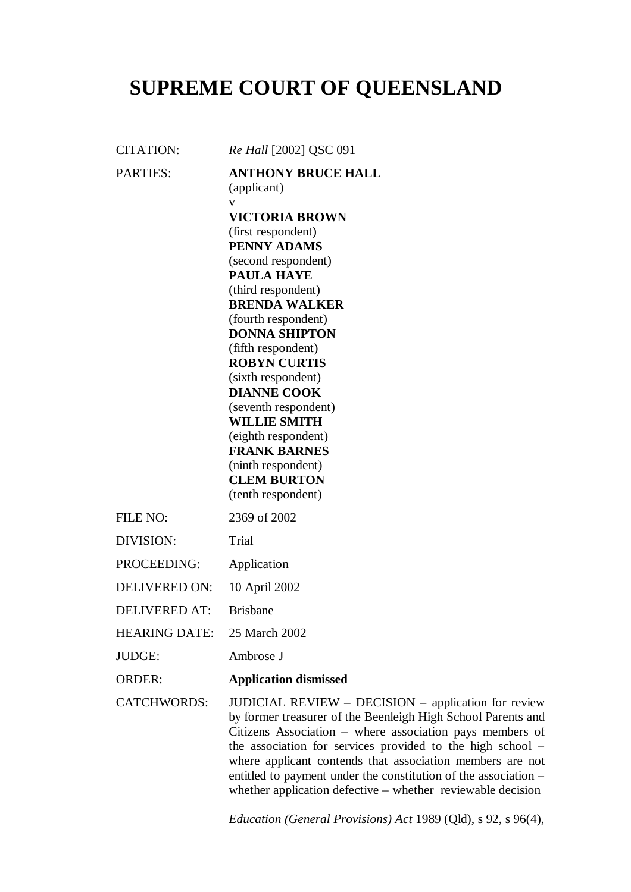## **SUPREME COURT OF QUEENSLAND**

CITATION: *Re Hall* [2002] QSC 091 PARTIES: **ANTHONY BRUCE HALL** (applicant) v **VICTORIA BROWN** (first respondent) **PENNY ADAMS** (second respondent) **PAULA HAYE** (third respondent) **BRENDA WALKER** (fourth respondent) **DONNA SHIPTON** (fifth respondent) **ROBYN CURTIS** (sixth respondent) **DIANNE COOK** (seventh respondent) **WILLIE SMITH** (eighth respondent) **FRANK BARNES** (ninth respondent) **CLEM BURTON** (tenth respondent) FILE NO: 2369 of 2002 DIVISION: Trial PROCEEDING: Application

DELIVERED ON: 10 April 2002

DELIVERED AT: Brisbane

HEARING DATE: 25 March 2002

JUDGE: Ambrose J

ORDER: **Application dismissed**

CATCHWORDS: JUDICIAL REVIEW – DECISION – application for review by former treasurer of the Beenleigh High School Parents and Citizens Association – where association pays members of the association for services provided to the high school – where applicant contends that association members are not entitled to payment under the constitution of the association – whether application defective – whether reviewable decision

*Education (General Provisions) Act* 1989 (Qld), s 92, s 96(4),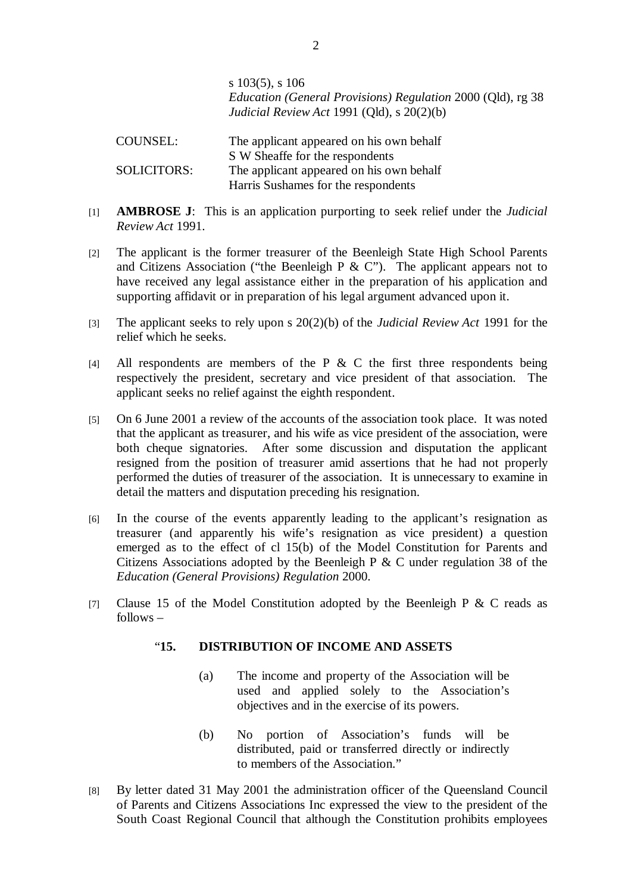s 103(5), s 106 *Education (General Provisions) Regulation* 2000 (Qld), rg 38 *Judicial Review Act* 1991 (Qld), s 20(2)(b)

COUNSEL: The applicant appeared on his own behalf S W Sheaffe for the respondents SOLICITORS: The applicant appeared on his own behalf Harris Sushames for the respondents

- [1] **AMBROSE J**: This is an application purporting to seek relief under the *Judicial Review Act* 1991.
- [2] The applicant is the former treasurer of the Beenleigh State High School Parents and Citizens Association ("the Beenleigh P  $\&$  C"). The applicant appears not to have received any legal assistance either in the preparation of his application and supporting affidavit or in preparation of his legal argument advanced upon it.
- [3] The applicant seeks to rely upon s 20(2)(b) of the *Judicial Review Act* 1991 for the relief which he seeks.
- [4] All respondents are members of the P & C the first three respondents being respectively the president, secretary and vice president of that association. The applicant seeks no relief against the eighth respondent.
- [5] On 6 June 2001 a review of the accounts of the association took place. It was noted that the applicant as treasurer, and his wife as vice president of the association, were both cheque signatories. After some discussion and disputation the applicant resigned from the position of treasurer amid assertions that he had not properly performed the duties of treasurer of the association. It is unnecessary to examine in detail the matters and disputation preceding his resignation.
- [6] In the course of the events apparently leading to the applicant's resignation as treasurer (and apparently his wife's resignation as vice president) a question emerged as to the effect of cl 15(b) of the Model Constitution for Parents and Citizens Associations adopted by the Beenleigh P & C under regulation 38 of the *Education (General Provisions) Regulation* 2000.
- [7] Clause 15 of the Model Constitution adopted by the Beenleigh P  $\&$  C reads as follows –

## "**15. DISTRIBUTION OF INCOME AND ASSETS**

- (a) The income and property of the Association will be used and applied solely to the Association's objectives and in the exercise of its powers.
- (b) No portion of Association's funds will be distributed, paid or transferred directly or indirectly to members of the Association."
- [8] By letter dated 31 May 2001 the administration officer of the Queensland Council of Parents and Citizens Associations Inc expressed the view to the president of the South Coast Regional Council that although the Constitution prohibits employees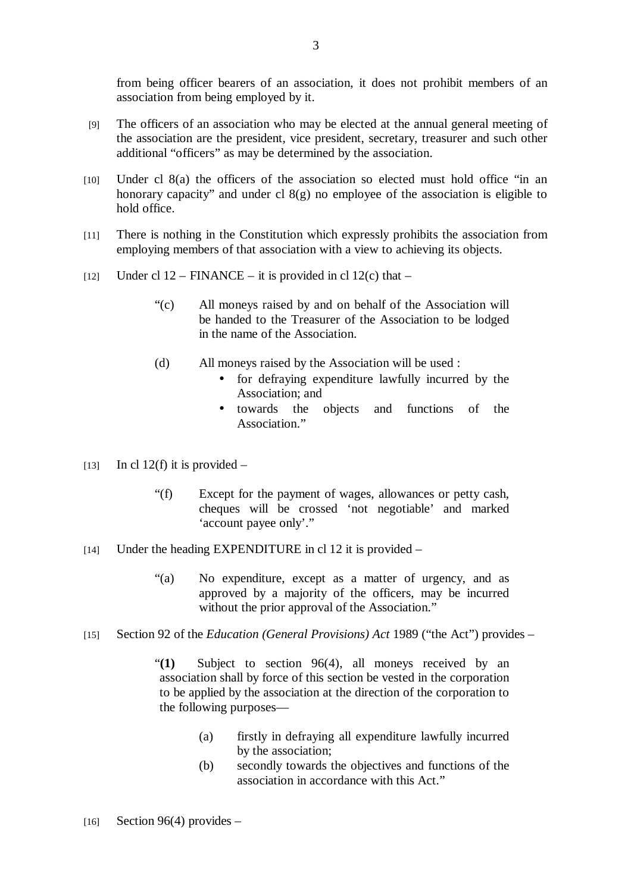from being officer bearers of an association, it does not prohibit members of an association from being employed by it.

- [9] The officers of an association who may be elected at the annual general meeting of the association are the president, vice president, secretary, treasurer and such other additional "officers" as may be determined by the association.
- [10] Under cl 8(a) the officers of the association so elected must hold office "in an honorary capacity" and under cl  $8(g)$  no employee of the association is eligible to hold office.
- [11] There is nothing in the Constitution which expressly prohibits the association from employing members of that association with a view to achieving its objects.
- [12] Under cl 12 FINANCE it is provided in cl 12(c) that
	- "(c) All moneys raised by and on behalf of the Association will be handed to the Treasurer of the Association to be lodged in the name of the Association.
	- (d) All moneys raised by the Association will be used :
		- for defraying expenditure lawfully incurred by the Association; and
		- towards the objects and functions of the Association."
- [13] In cl 12(f) it is provided  $-$ 
	- "(f) Except for the payment of wages, allowances or petty cash, cheques will be crossed 'not negotiable' and marked 'account payee only'."
- [14] Under the heading EXPENDITURE in cl 12 it is provided
	- "(a) No expenditure, except as a matter of urgency, and as approved by a majority of the officers, may be incurred without the prior approval of the Association."
- [15] Section 92 of the *Education (General Provisions) Act* 1989 ("the Act") provides
	- "**(1)** Subject to section 96(4), all moneys received by an association shall by force of this section be vested in the corporation to be applied by the association at the direction of the corporation to the following purposes—
		- (a) firstly in defraying all expenditure lawfully incurred by the association;
		- (b) secondly towards the objectives and functions of the association in accordance with this Act."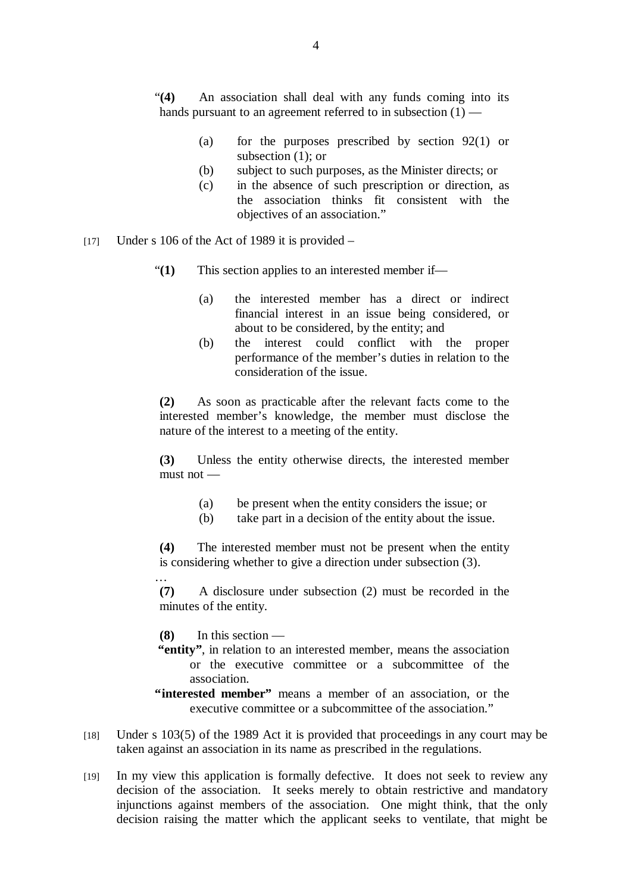"**(4)** An association shall deal with any funds coming into its hands pursuant to an agreement referred to in subsection (1) —

- (a) for the purposes prescribed by section 92(1) or subsection (1); or
- (b) subject to such purposes, as the Minister directs; or
- (c) in the absence of such prescription or direction, as the association thinks fit consistent with the objectives of an association."
- [17] Under s 106 of the Act of 1989 it is provided  $-$ 
	- "**(1)** This section applies to an interested member if—
		- (a) the interested member has a direct or indirect financial interest in an issue being considered, or about to be considered, by the entity; and
		- (b) the interest could conflict with the proper performance of the member's duties in relation to the consideration of the issue.

**(2)** As soon as practicable after the relevant facts come to the interested member's knowledge, the member must disclose the nature of the interest to a meeting of the entity.

**(3)** Unless the entity otherwise directs, the interested member must not —

- (a) be present when the entity considers the issue; or
- (b) take part in a decision of the entity about the issue.

**(4)** The interested member must not be present when the entity is considering whether to give a direction under subsection (3). …

**(7)** A disclosure under subsection (2) must be recorded in the minutes of the entity.

**(8)** In this section —

- **"entity"**, in relation to an interested member, means the association or the executive committee or a subcommittee of the association.
- **"interested member"** means a member of an association, or the executive committee or a subcommittee of the association."
- [18] Under s 103(5) of the 1989 Act it is provided that proceedings in any court may be taken against an association in its name as prescribed in the regulations.
- [19] In my view this application is formally defective. It does not seek to review any decision of the association. It seeks merely to obtain restrictive and mandatory injunctions against members of the association. One might think, that the only decision raising the matter which the applicant seeks to ventilate, that might be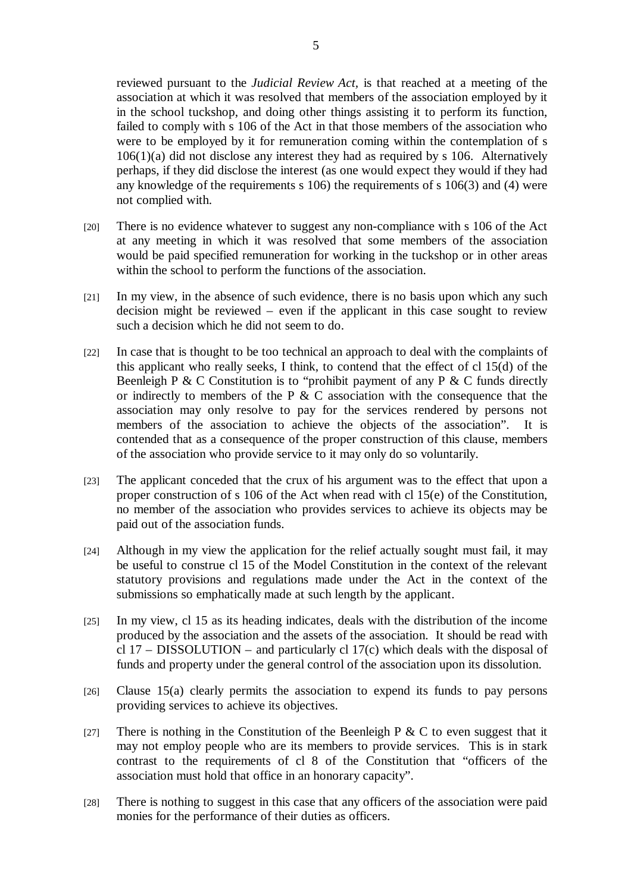reviewed pursuant to the *Judicial Review Act,* is that reached at a meeting of the association at which it was resolved that members of the association employed by it in the school tuckshop, and doing other things assisting it to perform its function, failed to comply with s 106 of the Act in that those members of the association who were to be employed by it for remuneration coming within the contemplation of s 106(1)(a) did not disclose any interest they had as required by s 106. Alternatively perhaps, if they did disclose the interest (as one would expect they would if they had any knowledge of the requirements s 106) the requirements of s 106(3) and (4) were not complied with.

- [20] There is no evidence whatever to suggest any non-compliance with s 106 of the Act at any meeting in which it was resolved that some members of the association would be paid specified remuneration for working in the tuckshop or in other areas within the school to perform the functions of the association.
- [21] In my view, in the absence of such evidence, there is no basis upon which any such decision might be reviewed – even if the applicant in this case sought to review such a decision which he did not seem to do.
- [22] In case that is thought to be too technical an approach to deal with the complaints of this applicant who really seeks, I think, to contend that the effect of cl 15(d) of the Beenleigh P & C Constitution is to "prohibit payment of any P & C funds directly or indirectly to members of the P & C association with the consequence that the association may only resolve to pay for the services rendered by persons not members of the association to achieve the objects of the association". It is contended that as a consequence of the proper construction of this clause, members of the association who provide service to it may only do so voluntarily.
- [23] The applicant conceded that the crux of his argument was to the effect that upon a proper construction of s 106 of the Act when read with cl 15(e) of the Constitution, no member of the association who provides services to achieve its objects may be paid out of the association funds.
- [24] Although in my view the application for the relief actually sought must fail, it may be useful to construe cl 15 of the Model Constitution in the context of the relevant statutory provisions and regulations made under the Act in the context of the submissions so emphatically made at such length by the applicant.
- [25] In my view, cl 15 as its heading indicates, deals with the distribution of the income produced by the association and the assets of the association. It should be read with cl 17 – DISSOLUTION – and particularly cl 17(c) which deals with the disposal of funds and property under the general control of the association upon its dissolution.
- [26] Clause 15(a) clearly permits the association to expend its funds to pay persons providing services to achieve its objectives.
- [27] There is nothing in the Constitution of the Beenleigh P & C to even suggest that it may not employ people who are its members to provide services. This is in stark contrast to the requirements of cl 8 of the Constitution that "officers of the association must hold that office in an honorary capacity".
- [28] There is nothing to suggest in this case that any officers of the association were paid monies for the performance of their duties as officers.